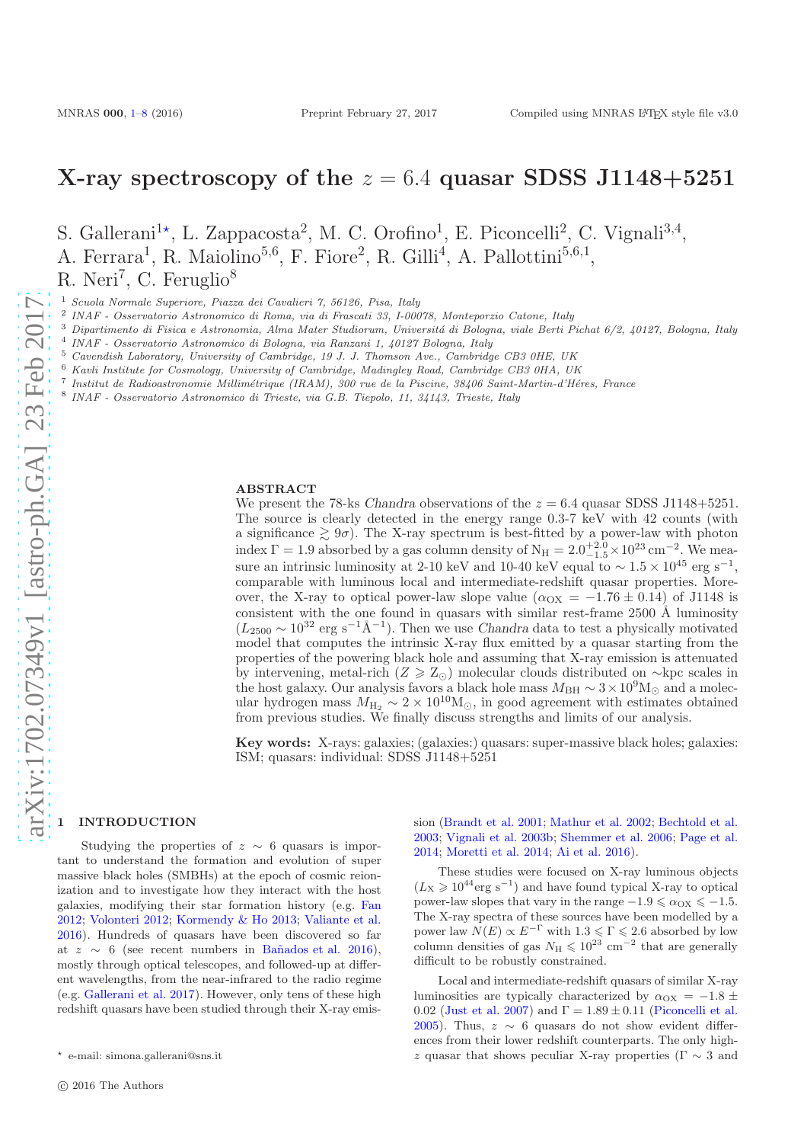# X-ray spectroscopy of the  $z = 6.4$  quasar SDSS J1148+5251

S. Gallerani<sup>1\*</sup>, L. Zappacosta<sup>2</sup>, M. C. Orofino<sup>1</sup>, E. Piconcelli<sup>2</sup>, C. Vignali<sup>3,4</sup>, A. Ferrara<sup>1</sup>, R. Maiolino<sup>5,6</sup>, F. Fiore<sup>2</sup>, R. Gilli<sup>4</sup>, A. Pallottini<sup>5,6,1</sup>, R. Neri<sup>7</sup>, C. Feruglio<sup>8</sup>

<sup>1</sup> Scuola Normale Superiore, Piazza dei Cavalieri 7, 56126, Pisa, Italy

2 INAF - Osservatorio Astronomico di Roma, via di Frascati 33, I-00078, Monteporzio Catone, Italy

 $3$  Dipartimento di Fisica e Astronomia, Alma Mater Studiorum, Universitá di Bologna, viale Berti Pichat 6/2, 40127, Bologna, Italy

4 INAF - Osservatorio Astronomico di Bologna, via Ranzani 1, 40127 Bologna, Italy

<sup>5</sup> Cavendish Laboratory, University of Cambridge, 19 J. J. Thomson Ave., Cambridge CB3 0HE, UK

<sup>6</sup> Kavli Institute for Cosmology, University of Cambridge, Madingley Road, Cambridge CB3 0HA, UK

<sup>7</sup> Institut de Radioastronomie Millimétrique (IRAM), 300 rue de la Piscine, 38406 Saint-Martin-d'Héres, France

8 INAF - Osservatorio Astronomico di Trieste, via G.B. Tiepolo, 11, 34143, Trieste, Italy

#### ABSTRACT

We present the 78-ks Chandra observations of the  $z = 6.4$  quasar SDSS J1148+5251. The source is clearly detected in the energy range 0.3-7 keV with 42 counts (with a significance  $\geq 9\sigma$ ). The X-ray spectrum is best-fitted by a power-law with photon index  $\Gamma = 1.9$  absorbed by a gas column density of  $N_H = 2.0^{+2.0}_{-1.5} \times 10^{23}$  cm<sup>-2</sup>. We measure an intrinsic luminosity at 2-10 keV and 10-40 keV equal to  $\sim 1.5 \times 10^{45}$  erg s<sup>-1</sup>, comparable with luminous local and intermediate-redshift quasar properties. Moreover, the X-ray to optical power-law slope value ( $\alpha_{\text{OX}} = -1.76 \pm 0.14$ ) of J1148 is consistent with the one found in quasars with similar rest-frame  $2500 \text{ Å}$  luminosity  $(L_{2500} \sim 10^{32} \text{ erg s}^{-1} \text{\AA}^{-1})$ . Then we use *Chandra* data to test a physically motivated model that computes the intrinsic X-ray flux emitted by a quasar starting from the properties of the powering black hole and assuming that X-ray emission is attenuated by intervening, metal-rich ( $Z \geq Z_{\odot}$ ) molecular clouds distributed on ∼kpc scales in the host galaxy. Our analysis favors a black hole mass  $M_{\rm BH} \sim 3 \times 10^9 {\rm M}_{\odot}$  and a molecular hydrogen mass  $M_{\rm H_2} \sim 2 \times 10^{10} \text{M}_{\odot}$ , in good agreement with estimates obtained from previous studies. We finally discuss strengths and limits of our analysis.

Key words: X-rays: galaxies; (galaxies:) quasars: super-massive black holes; galaxies: ISM; quasars: individual: SDSS J1148+5251

# <span id="page-0-0"></span>**INTRODUCTION**

Studying the properties of  $z \sim 6$  quasars is important to understand the formation and evolution of super massive black holes (SMBHs) at the epoch of cosmic reionization and to investigate how they interact with the host galaxies, modifying their star formation history (e.g. [Fan](#page-7-0) [2012](#page-7-0); [Volonteri 2012](#page-8-0); [Kormendy & Ho 2013;](#page-7-1) [Valiante et al.](#page-8-1) [2016](#page-8-1)). Hundreds of quasars have been discovered so far at  $z \sim 6$  (see recent numbers in Bañados et al. 2016), mostly through optical telescopes, and followed-up at different wavelengths, from the near-infrared to the radio regime (e.g. [Gallerani et al. 2017\)](#page-7-3). However, only tens of these high redshift quasars have been studied through their X-ray emission [\(Brandt et al. 2001](#page-7-4); [Mathur et al. 2002](#page-7-5); [Bechtold et al.](#page-7-6) [2003](#page-7-6); [Vignali et al. 2003b](#page-8-2); [Shemmer et al. 2006;](#page-8-3) [Page et al.](#page-7-7) [2014](#page-7-7); [Moretti et al. 2014;](#page-7-8) [Ai et al. 2016\)](#page-7-9).

These studies were focused on X-ray luminous objects  $(L_{\rm X} \geq 10^{44} \text{erg s}^{-1})$  and have found typical X-ray to optical power-law slopes that vary in the range  $-1.9 \le \alpha_{\text{OX}} \le -1.5$ . The X-ray spectra of these sources have been modelled by a power law  $N(E) \propto E^{-\Gamma}$  with  $1.3 \leq \Gamma \leq 2.6$  absorbed by low column densities of gas  $N_H \leq 10^{23}$  cm<sup>-2</sup> that are generally difficult to be robustly constrained.

Local and intermediate-redshift quasars of similar X-ray luminosities are typically characterized by  $\alpha_{\text{OX}} = -1.8 \pm$ 0.02 [\(Just et al. 2007](#page-7-10)) and  $\Gamma = 1.89 \pm 0.11$  [\(Piconcelli et al.](#page-8-4) [2005](#page-8-4)). Thus,  $z \sim 6$  quasars do not show evident differences from their lower redshift counterparts. The only highz quasar that shows peculiar X-ray properties ( $\Gamma \sim 3$  and

<sup>⋆</sup> e-mail: simona.gallerani@sns.it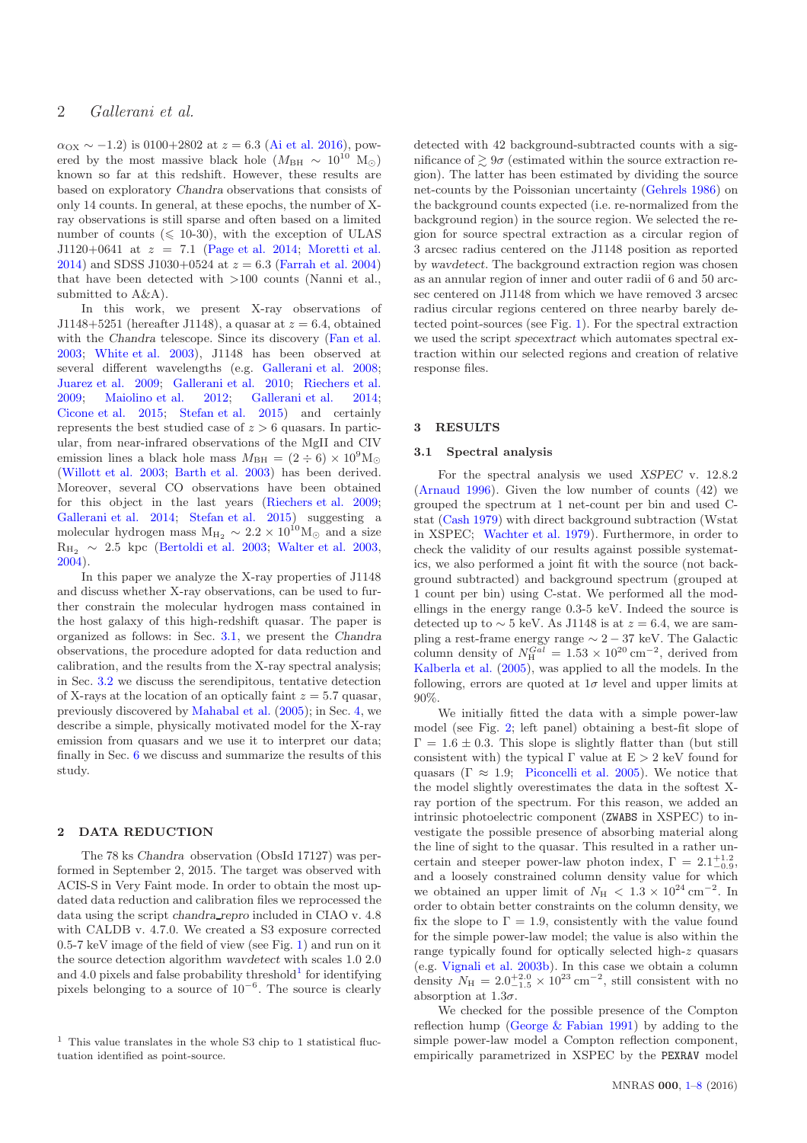$\alpha_{\text{OX}} \sim -1.2$ ) is 0100+2802 at  $z = 6.3$  [\(Ai et al. 2016\)](#page-7-9), powered by the most massive black hole ( $M_{\rm BH} \sim 10^{10}$  M<sub>☉</sub>) known so far at this redshift. However, these results are based on exploratory Chandra observations that consists of only 14 counts. In general, at these epochs, the number of Xray observations is still sparse and often based on a limited number of counts ( $\leq 10-30$ ), with the exception of ULAS J1120+0641 at  $z = 7.1$  [\(Page et al. 2014](#page-7-7); [Moretti et al.](#page-7-8) [2014](#page-7-8)) and SDSS J1030+0524 at  $z = 6.3$  [\(Farrah et al. 2004](#page-7-11)) that have been detected with >100 counts (Nanni et al., submitted to A&A).

In this work, we present X-ray observations of J1148+5251 (hereafter J1148), a quasar at  $z = 6.4$ , obtained with the *Chandra* telescope. Since its discovery [\(Fan et al.](#page-7-12) [2003](#page-7-12); [White et al. 2003](#page-8-5)), J1148 has been observed at several different wavelengths (e.g. [Gallerani et al. 2008;](#page-7-13) [Juarez et al. 2009;](#page-7-14) [Gallerani et al. 2010;](#page-7-15) [Riechers et al.](#page-8-6) [2009](#page-8-6); [Maiolino et al. 2012](#page-7-16); [Gallerani et al. 2014;](#page-7-17) [Cicone et al. 2015](#page-7-18); [Stefan et al. 2015](#page-8-7)) and certainly represents the best studied case of  $z > 6$  quasars. In particular, from near-infrared observations of the MgII and CIV emission lines a black hole mass  $M_{\text{BH}} = (2 \div 6) \times 10^9 \text{M}_{\odot}$ [\(Willott et al. 2003](#page-8-8); [Barth et al. 2003](#page-7-19)) has been derived. Moreover, several CO observations have been obtained for this object in the last years [\(Riechers et al. 2009;](#page-8-6) [Gallerani et al. 2014](#page-7-17); [Stefan et al. 2015](#page-8-7)) suggesting a molecular hydrogen mass  $M_{\text{H}_2} \sim 2.2 \times 10^{10} M_{\odot}$  and a size  $R_{H_2} \sim 2.5$  kpc [\(Bertoldi et al. 2003;](#page-7-20) [Walter et al. 2003,](#page-8-9) [2004](#page-8-10)).

In this paper we analyze the X-ray properties of J1148 and discuss whether X-ray observations, can be used to further constrain the molecular hydrogen mass contained in the host galaxy of this high-redshift quasar. The paper is organized as follows: in Sec. [3.1,](#page-1-0) we present the Chandra observations, the procedure adopted for data reduction and calibration, and the results from the X-ray spectral analysis; in Sec. [3.2](#page-2-0) we discuss the serendipitous, tentative detection of X-rays at the location of an optically faint  $z = 5.7$  quasar, previously discovered by [Mahabal et al.](#page-7-21) [\(2005](#page-7-21)); in Sec. [4,](#page-3-0) we describe a simple, physically motivated model for the X-ray emission from quasars and we use it to interpret our data; finally in Sec. [6](#page-6-0) we discuss and summarize the results of this study.

### 2 DATA REDUCTION

The 78 ks Chandra observation (ObsId 17127) was performed in September 2, 2015. The target was observed with ACIS-S in Very Faint mode. In order to obtain the most updated data reduction and calibration files we reprocessed the data using the script chandra repro included in CIAO v. 4.8 with CALDB v. 4.7.0. We created a S3 exposure corrected 0.5-7 keV image of the field of view (see Fig. [1\)](#page-2-1) and run on it the source detection algorithm wavdetect with scales 1.0 2.0 and 4.0 pixels and false probability threshold<sup>1</sup> for identifying pixels belonging to a source of 10<sup>−</sup><sup>6</sup> . The source is clearly detected with 42 background-subtracted counts with a significance of  $\geq 9\sigma$  (estimated within the source extraction region). The latter has been estimated by dividing the source net-counts by the Poissonian uncertainty [\(Gehrels 1986](#page-7-22)) on the background counts expected (i.e. re-normalized from the background region) in the source region. We selected the region for source spectral extraction as a circular region of 3 arcsec radius centered on the J1148 position as reported by wavdetect. The background extraction region was chosen as an annular region of inner and outer radii of 6 and 50 arcsec centered on J1148 from which we have removed 3 arcsec radius circular regions centered on three nearby barely detected point-sources (see Fig. [1\)](#page-2-1). For the spectral extraction we used the script specextract which automates spectral extraction within our selected regions and creation of relative response files.

# <span id="page-1-0"></span>3 RESULTS

## 3.1 Spectral analysis

For the spectral analysis we used XSPEC v. 12.8.2 [\(Arnaud 1996](#page-7-23)). Given the low number of counts (42) we grouped the spectrum at 1 net-count per bin and used Cstat [\(Cash 1979](#page-7-24)) with direct background subtraction (Wstat in XSPEC; [Wachter et al. 1979](#page-8-11)). Furthermore, in order to check the validity of our results against possible systematics, we also performed a joint fit with the source (not background subtracted) and background spectrum (grouped at 1 count per bin) using C-stat. We performed all the modellings in the energy range 0.3-5 keV. Indeed the source is detected up to  $\sim$  5 keV. As J1148 is at  $z = 6.4$ , we are sampling a rest-frame energy range  $\sim 2 - 37$  keV. The Galactic column density of  $N_{\rm H}^{Gal} = 1.53 \times 10^{20} \text{ cm}^{-2}$ , derived from [Kalberla et al.](#page-7-25) [\(2005](#page-7-25)), was applied to all the models. In the following, errors are quoted at  $1\sigma$  level and upper limits at 90%.

We initially fitted the data with a simple power-law model (see Fig. [2;](#page-3-1) left panel) obtaining a best-fit slope of  $\Gamma = 1.6 \pm 0.3$ . This slope is slightly flatter than (but still consistent with) the typical  $\Gamma$  value at  $E > 2$  keV found for quasars ( $\Gamma \approx 1.9$ ; [Piconcelli et al. 2005\)](#page-8-4). We notice that the model slightly overestimates the data in the softest Xray portion of the spectrum. For this reason, we added an intrinsic photoelectric component (ZWABS in XSPEC) to investigate the possible presence of absorbing material along the line of sight to the quasar. This resulted in a rather uncertain and steeper power-law photon index,  $\Gamma = 2.1^{+1.2}_{-0.9}$ , and a loosely constrained column density value for which we obtained an upper limit of  $N_{\rm H}$  < 1.3 × 10<sup>24</sup> cm<sup>-2</sup>. In order to obtain better constraints on the column density, we fix the slope to  $\Gamma = 1.9$ , consistently with the value found for the simple power-law model; the value is also within the range typically found for optically selected high-z quasars (e.g. [Vignali et al. 2003b](#page-8-2)). In this case we obtain a column density  $N_{\rm H} = 2.0^{+2.0}_{-1.5} \times 10^{23} \text{ cm}^{-2}$ , still consistent with no absorption at  $1.3\sigma$ .

We checked for the possible presence of the Compton reflection hump [\(George & Fabian 1991](#page-7-26)) by adding to the simple power-law model a Compton reflection component, empirically parametrized in XSPEC by the PEXRAV model

 $^{\rm 1}$  This value translates in the whole S3 chip to 1 statistical fluctuation identified as point-source.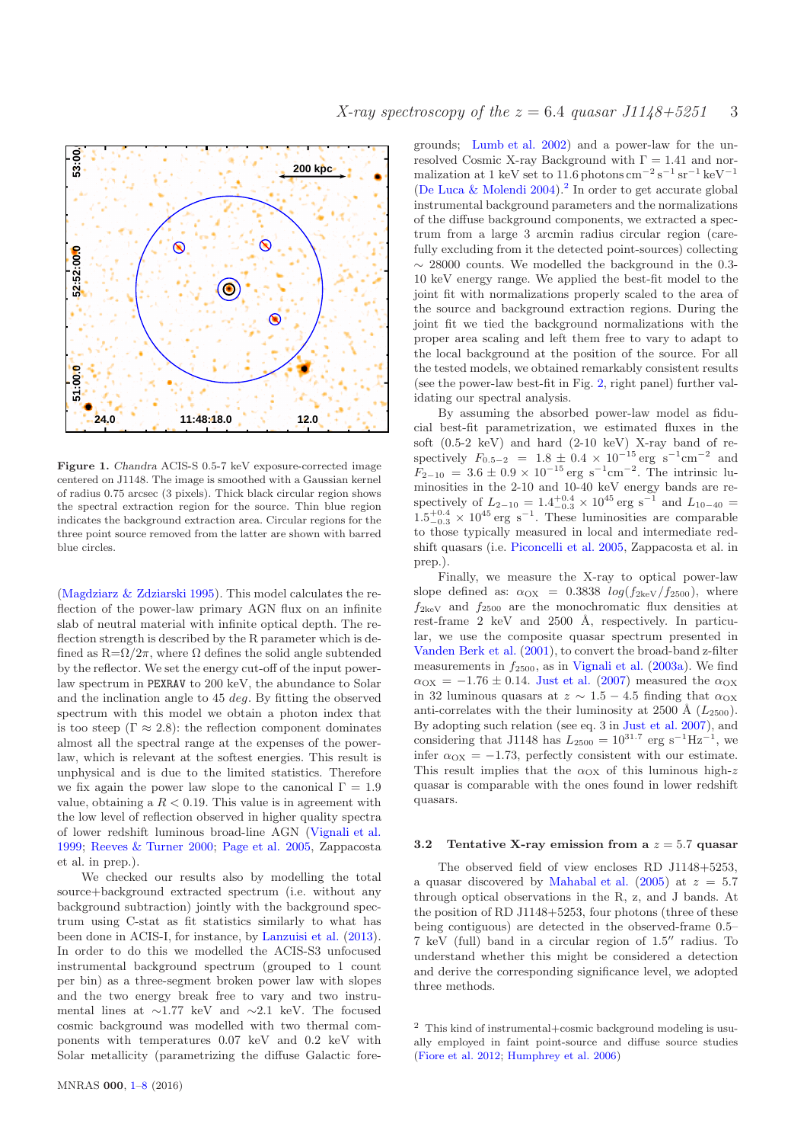



<span id="page-2-1"></span>Figure 1. Chandra ACIS-S 0.5-7 keV exposure-corrected image centered on J1148. The image is smoothed with a Gaussian kernel of radius 0.75 arcsec (3 pixels). Thick black circular region shows the spectral extraction region for the source. Thin blue region indicates the background extraction area. Circular regions for the three point source removed from the latter are shown with barred blue circles.

[\(Magdziarz & Zdziarski 1995](#page-7-27)). This model calculates the reflection of the power-law primary AGN flux on an infinite slab of neutral material with infinite optical depth. The reflection strength is described by the R parameter which is defined as  $R = \Omega/2\pi$ , where  $\Omega$  defines the solid angle subtended by the reflector. We set the energy cut-off of the input powerlaw spectrum in PEXRAV to 200 keV, the abundance to Solar and the inclination angle to 45 deg. By fitting the observed spectrum with this model we obtain a photon index that is too steep ( $\Gamma \approx 2.8$ ): the reflection component dominates almost all the spectral range at the expenses of the powerlaw, which is relevant at the softest energies. This result is unphysical and is due to the limited statistics. Therefore we fix again the power law slope to the canonical  $\Gamma = 1.9$ value, obtaining a  $R < 0.19$ . This value is in agreement with the low level of reflection observed in higher quality spectra of lower redshift luminous broad-line AGN [\(Vignali et al.](#page-8-12) [1999](#page-8-12); [Reeves & Turner 2000](#page-8-13); [Page et al. 2005](#page-7-28), Zappacosta et al. in prep.).

We checked our results also by modelling the total source+background extracted spectrum (i.e. without any background subtraction) jointly with the background spectrum using C-stat as fit statistics similarly to what has been done in ACIS-I, for instance, by [Lanzuisi et al.](#page-7-29) [\(2013](#page-7-29)). In order to do this we modelled the ACIS-S3 unfocused instrumental background spectrum (grouped to 1 count per bin) as a three-segment broken power law with slopes and the two energy break free to vary and two instrumental lines at ∼1.77 keV and ∼2.1 keV. The focused cosmic background was modelled with two thermal components with temperatures 0.07 keV and 0.2 keV with Solar metallicity (parametrizing the diffuse Galactic fore-

grounds; [Lumb et al. 2002\)](#page-7-30) and a power-law for the unresolved Cosmic X-ray Background with  $\Gamma = 1.41$  and normalization at 1 keV set to 11.6 photons  $\text{cm}^{-2} \text{ s}^{-1} \text{ sr}^{-1} \text{ keV}^{-1}$ [\(De Luca & Molendi 2004](#page-7-31)).<sup>2</sup> In order to get accurate global instrumental background parameters and the normalizations of the diffuse background components, we extracted a spectrum from a large 3 arcmin radius circular region (carefully excluding from it the detected point-sources) collecting  $\sim$  28000 counts. We modelled the background in the 0.3-10 keV energy range. We applied the best-fit model to the joint fit with normalizations properly scaled to the area of the source and background extraction regions. During the joint fit we tied the background normalizations with the proper area scaling and left them free to vary to adapt to the local background at the position of the source. For all the tested models, we obtained remarkably consistent results (see the power-law best-fit in Fig. [2,](#page-3-1) right panel) further validating our spectral analysis.

By assuming the absorbed power-law model as fiducial best-fit parametrization, we estimated fluxes in the soft  $(0.5-2 \text{ keV})$  and hard  $(2-10 \text{ keV})$  X-ray band of respectively  $F_{0.5-2}$  = 1.8 ± 0.4 × 10<sup>-15</sup> erg s<sup>-1</sup>cm<sup>-2</sup> and  $F_{2-10} = 3.6 \pm 0.9 \times 10^{-15} \text{ erg s}^{-1} \text{cm}^{-2}$ . The intrinsic luminosities in the 2-10 and 10-40 keV energy bands are respectively of  $L_{2-10} = 1.4^{+0.4}_{-0.3} \times 10^{45}$  erg s<sup>-1</sup> and  $L_{10-40}$  =  $1.5^{+0.4}_{-0.3} \times 10^{45}$  erg s<sup>-1</sup>. These luminosities are comparable to those typically measured in local and intermediate redshift quasars (i.e. [Piconcelli et al. 2005,](#page-8-4) Zappacosta et al. in prep.).

Finally, we measure the X-ray to optical power-law slope defined as:  $\alpha_{\text{OX}} = 0.3838 log(f_{2\text{keV}}/f_{2500}),$  where  $f_{2\text{keV}}$  and  $f_{2500}$  are the monochromatic flux densities at rest-frame 2 keV and  $2500$  Å, respectively. In particular, we use the composite quasar spectrum presented in [Vanden Berk et al.](#page-8-14) [\(2001](#page-8-14)), to convert the broad-band z-filter measurements in  $f_{2500}$ , as in [Vignali et al.](#page-8-15) [\(2003a](#page-8-15)). We find  $\alpha_{\text{OX}} = -1.76 \pm 0.14$ . [Just et al.](#page-7-10) [\(2007](#page-7-10)) measured the  $\alpha_{\text{OX}}$ in 32 luminous quasars at  $z \sim 1.5 - 4.5$  finding that  $\alpha_{OX}$ anti-correlates with the their luminosity at 2500 Å  $(L_{2500})$ . By adopting such relation (see eq. 3 in [Just et al. 2007\)](#page-7-10), and considering that J1148 has  $L_{2500} = 10^{31.7}$  erg s<sup>-1</sup>Hz<sup>-1</sup>, we infer  $\alpha_{\text{OX}} = -1.73$ , perfectly consistent with our estimate. This result implies that the  $\alpha_{\text{OX}}$  of this luminous high-z quasar is comparable with the ones found in lower redshift quasars.

#### <span id="page-2-0"></span>3.2 Tentative X-ray emission from a  $z = 5.7$  quasar

The observed field of view encloses RD J1148+5253, a quasar discovered by [Mahabal et al.](#page-7-21) [\(2005](#page-7-21)) at  $z = 5.7$ through optical observations in the R, z, and J bands. At the position of RD J1148+5253, four photons (three of these being contiguous) are detected in the observed-frame 0.5– 7 keV (full) band in a circular region of 1.5′′ radius. To understand whether this might be considered a detection and derive the corresponding significance level, we adopted three methods.

<sup>2</sup> This kind of instrumental+cosmic background modeling is usually employed in faint point-source and diffuse source studies [\(Fiore et al. 2012](#page-7-32); [Humphrey et al. 2006](#page-7-33))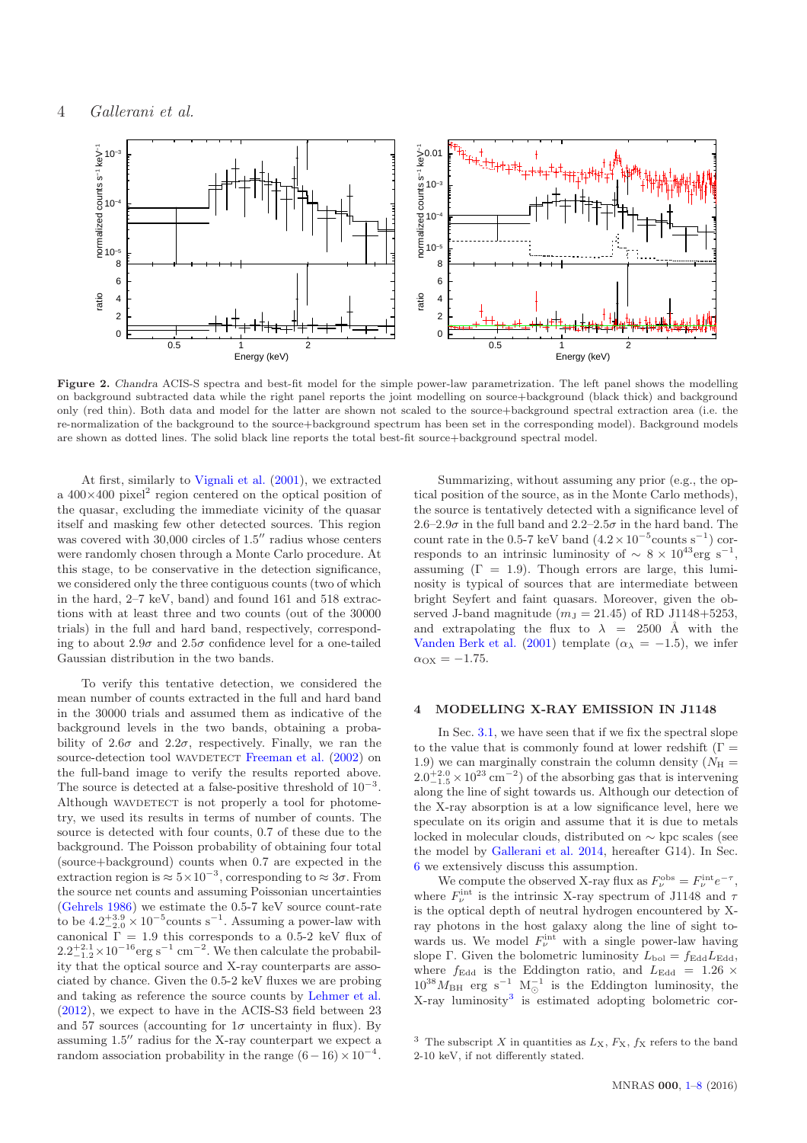

<span id="page-3-1"></span>Figure 2. Chandra ACIS-S spectra and best-fit model for the simple power-law parametrization. The left panel shows the modelling on background subtracted data while the right panel reports the joint modelling on source+background (black thick) and background only (red thin). Both data and model for the latter are shown not scaled to the source+background spectral extraction area (i.e. the re-normalization of the background to the source+background spectrum has been set in the corresponding model). Background models are shown as dotted lines. The solid black line reports the total best-fit source+background spectral model.

At first, similarly to [Vignali et al.](#page-8-16) [\(2001\)](#page-8-16), we extracted a  $400\times400$  pixel<sup>2</sup> region centered on the optical position of the quasar, excluding the immediate vicinity of the quasar itself and masking few other detected sources. This region was covered with 30,000 circles of 1.5" radius whose centers were randomly chosen through a Monte Carlo procedure. At this stage, to be conservative in the detection significance, we considered only the three contiguous counts (two of which in the hard, 2–7 keV, band) and found 161 and 518 extractions with at least three and two counts (out of the 30000 trials) in the full and hard band, respectively, corresponding to about 2.9 $\sigma$  and 2.5 $\sigma$  confidence level for a one-tailed Gaussian distribution in the two bands.

To verify this tentative detection, we considered the mean number of counts extracted in the full and hard band in the 30000 trials and assumed them as indicative of the background levels in the two bands, obtaining a probability of  $2.6\sigma$  and  $2.2\sigma$ , respectively. Finally, we ran the source-detection tool WAVDETECT [Freeman et al.](#page-7-34) [\(2002](#page-7-34)) on the full-band image to verify the results reported above. The source is detected at a false-positive threshold of  $10^{-3}$ . Although WAVDETECT is not properly a tool for photometry, we used its results in terms of number of counts. The source is detected with four counts, 0.7 of these due to the background. The Poisson probability of obtaining four total (source+background) counts when 0.7 are expected in the extraction region is  $\approx 5 \times 10^{-3}$ , corresponding to  $\approx 3\sigma$ . From the source net counts and assuming Poissonian uncertainties [\(Gehrels 1986](#page-7-22)) we estimate the 0.5-7 keV source count-rate to be  $4.2^{+3.9}_{-2.0} \times 10^{-5}$  counts s<sup>-1</sup>. Assuming a power-law with canonical  $\overline{\Gamma} = 1.9$  this corresponds to a 0.5-2 keV flux of  $2.2^{+2.1}_{-1.2}\times10^{-16}$  erg s<sup>-1</sup> cm<sup>-2</sup>. We then calculate the probability that the optical source and X-ray counterparts are associated by chance. Given the 0.5-2 keV fluxes we are probing and taking as reference the source counts by [Lehmer et al.](#page-7-35) [\(2012](#page-7-35)), we expect to have in the ACIS-S3 field between 23 and 57 sources (accounting for  $1\sigma$  uncertainty in flux). By assuming 1.5′′ radius for the X-ray counterpart we expect a random association probability in the range  $(6-16) \times 10^{-4}$ .

Summarizing, without assuming any prior (e.g., the optical position of the source, as in the Monte Carlo methods), the source is tentatively detected with a significance level of 2.6–2.9 $\sigma$  in the full band and 2.2–2.5 $\sigma$  in the hard band. The count rate in the 0.5-7 keV band  $(4.2 \times 10^{-5}$ counts s<sup>-1</sup>) corresponds to an intrinsic luminosity of  $\sim 8 \times 10^{43} \text{erg s}^{-1}$ , assuming  $(\Gamma = 1.9)$ . Though errors are large, this luminosity is typical of sources that are intermediate between bright Seyfert and faint quasars. Moreover, given the observed J-band magnitude  $(m_J = 21.45)$  of RD J1148+5253, and extrapolating the flux to  $\lambda = 2500 \text{ Å}$  with the [Vanden Berk et al.](#page-8-14) [\(2001\)](#page-8-14) template ( $\alpha_{\lambda} = -1.5$ ), we infer  $\alpha_{\text{OX}} = -1.75.$ 

## <span id="page-3-0"></span>4 MODELLING X-RAY EMISSION IN J1148

In Sec. [3.1,](#page-1-0) we have seen that if we fix the spectral slope to the value that is commonly found at lower redshift ( $\Gamma =$ 1.9) we can marginally constrain the column density ( $N_{\rm H}$  =  $2.0^{+2.0}_{-1.5} \times 10^{23}$  cm<sup>-2</sup>) of the absorbing gas that is intervening along the line of sight towards us. Although our detection of the X-ray absorption is at a low significance level, here we speculate on its origin and assume that it is due to metals locked in molecular clouds, distributed on ∼ kpc scales (see the model by [Gallerani et al. 2014,](#page-7-17) hereafter G14). In Sec. [6](#page-6-0) we extensively discuss this assumption.

We compute the observed X-ray flux as  $F_{\nu}^{\text{obs}} = F_{\nu}^{\text{int}} e^{-\tau}$ , where  $F_{\nu}^{\text{int}}$  is the intrinsic X-ray spectrum of J1148 and  $\tau$ is the optical depth of neutral hydrogen encountered by Xray photons in the host galaxy along the line of sight towards us. We model  $F_{\nu}^{\text{int}}$  with a single power-law having slope Γ. Given the bolometric luminosity  $L_{\text{bol}} = f_{\text{Edd}} L_{\text{Edd}}$ , where  $f_{\text{Edd}}$  is the Eddington ratio, and  $L_{\text{Edd}} = 1.26 \times$  $10^{38} M_{\text{BH}}$  erg s<sup>-1</sup> M<sub>☉</sub><sup>1</sup> is the Eddington luminosity, the X-ray luminosity<sup>3</sup> is estimated adopting bolometric cor-

<sup>&</sup>lt;sup>3</sup> The subscript X in quantities as  $L_X$ ,  $F_X$ ,  $f_X$  refers to the band 2-10 keV, if not differently stated.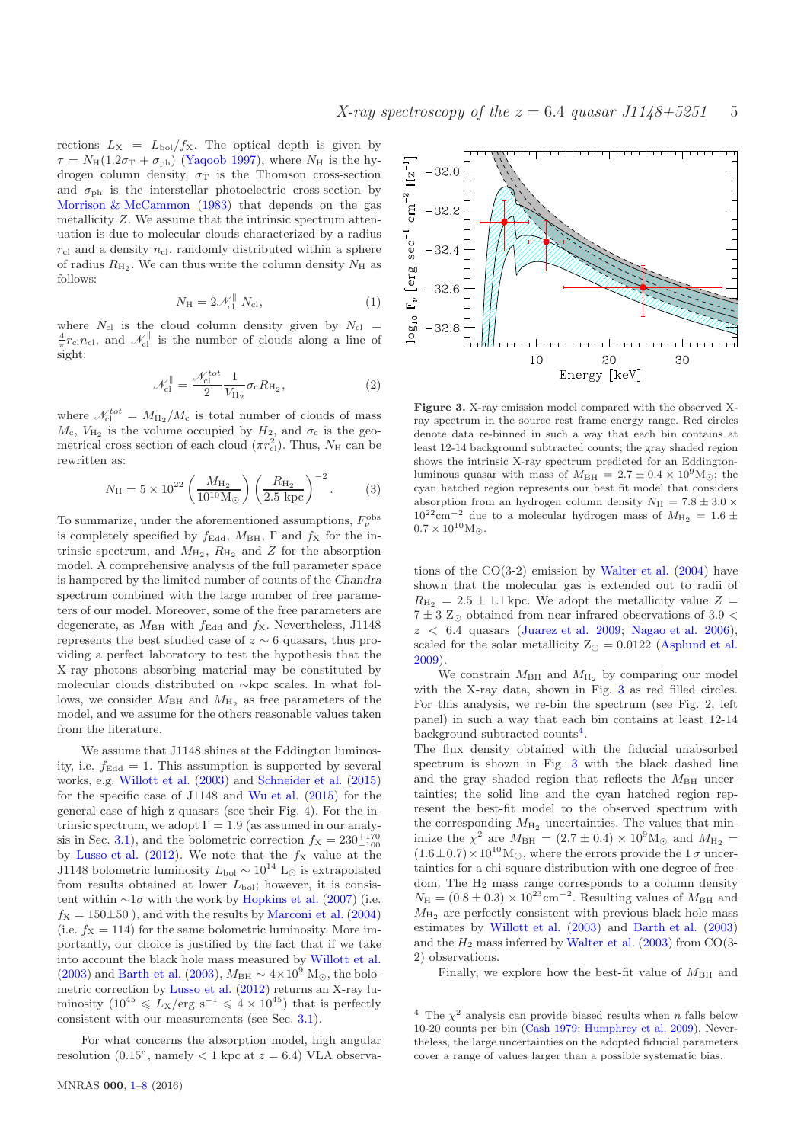rections  $L_X = L_{bol}/f_X$ . The optical depth is given by  $\tau = N_H(1.2\sigma_T + \sigma_{ph})$  [\(Yaqoob 1997](#page-8-17)), where  $N_H$  is the hydrogen column density,  $\sigma_T$  is the Thomson cross-section and  $\sigma_{\rm ph}$  is the interstellar photoelectric cross-section by [Morrison & McCammon](#page-7-36) [\(1983](#page-7-36)) that depends on the gas metallicity Z. We assume that the intrinsic spectrum attenuation is due to molecular clouds characterized by a radius  $r_{\rm cl}$  and a density  $n_{\rm cl}$ , randomly distributed within a sphere of radius  $R_{\text{H}_2}$ . We can thus write the column density  $N_{\text{H}}$  as follows:

$$
N_{\rm H} = 2\mathcal{N}_{\rm cl}^{\parallel} N_{\rm cl},\tag{1}
$$

where  $N_{\text{cl}}$  is the cloud column density given by  $N_{\text{cl}}$  =  $\frac{4}{\pi}r_{\text{cl}}n_{\text{cl}}$ , and  $\mathscr{N}_{\text{cl}}^{\parallel}$  is the number of clouds along a line of sight:

$$
\mathcal{N}_{\rm cl}^{\parallel} = \frac{\mathcal{N}_{\rm cl}^{tot}}{2} \frac{1}{V_{\rm H_2}} \sigma_{\rm c} R_{\rm H_2},\tag{2}
$$

where  $\mathcal{N}_{\text{cl}}^{tot} = M_{\text{H}_2}/M_c$  is total number of clouds of mass  $M_c$ ,  $V_{\rm H_2}$  is the volume occupied by  $H_2$ , and  $\sigma_c$  is the geometrical cross section of each cloud  $(\pi r_{\text{cl}}^2)$ . Thus,  $N_{\text{H}}$  can be rewritten as:

$$
N_{\rm H} = 5 \times 10^{22} \left( \frac{M_{\rm H_2}}{10^{10} \rm M_{\odot}} \right) \left( \frac{R_{\rm H_2}}{2.5 \rm kpc} \right)^{-2}.
$$
 (3)

To summarize, under the aforementioned assumptions,  $F_{\nu}^{\text{obs}}$ is completely specified by  $f_{\text{Edd}}$ ,  $M_{\text{BH}}$ ,  $\Gamma$  and  $f_{\text{X}}$  for the intrinsic spectrum, and  $M_{\text{H}_2}$ ,  $R_{\text{H}_2}$  and Z for the absorption model. A comprehensive analysis of the full parameter space is hampered by the limited number of counts of the Chandra spectrum combined with the large number of free parameters of our model. Moreover, some of the free parameters are degenerate, as  $M_{\text{BH}}$  with  $f_{\text{Edd}}$  and  $f_{\text{X}}$ . Nevertheless, J1148 represents the best studied case of  $z \sim 6$  quasars, thus providing a perfect laboratory to test the hypothesis that the X-ray photons absorbing material may be constituted by molecular clouds distributed on ∼kpc scales. In what follows, we consider  $M_{\rm BH}$  and  $M_{\rm H_2}$  as free parameters of the model, and we assume for the others reasonable values taken from the literature.

We assume that J1148 shines at the Eddington luminosity, i.e.  $f_{\text{Edd}} = 1$ . This assumption is supported by several works, e.g. [Willott et al.](#page-8-8) [\(2003](#page-8-8)) and [Schneider et al.](#page-8-18) [\(2015](#page-8-18)) for the specific case of J1148 and [Wu et al.](#page-8-19) [\(2015](#page-8-19)) for the general case of high-z quasars (see their Fig. 4). For the intrinsic spectrum, we adopt  $\Gamma = 1.9$  (as assumed in our analy-sis in Sec. [3.1\)](#page-1-0), and the bolometric correction  $f_X = 230^{+170}_{-100}$ by [Lusso et al.](#page-7-37) [\(2012\)](#page-7-37). We note that the  $f_X$  value at the J1148 bolometric luminosity  $L_{\text{bol}} \sim 10^{14}$  L<sub>⊙</sub> is extrapolated from results obtained at lower  $L_{\text{bol}}$ ; however, it is consistent within  $\sim 1\sigma$  with the work by [Hopkins et al.](#page-7-38) [\(2007\)](#page-7-38) (i.e.  $f_{\text{X}} = 150\pm50$ , and with the results by [Marconi et al.](#page-7-39) [\(2004](#page-7-39)) (i.e.  $f_X = 114$ ) for the same bolometric luminosity. More importantly, our choice is justified by the fact that if we take into account the black hole mass measured by [Willott et al.](#page-8-8) [\(2003](#page-7-19)) and [Barth et al.](#page-7-19) (2003),  $M_{\text{BH}} \sim 4 \times 10^9$  M<sub>☉</sub>, the bolometric correction by [Lusso et al.](#page-7-37) [\(2012](#page-7-37)) returns an X-ray luminosity  $(10^{45} \le L_X/\text{erg s}^{-1} \le 4 \times 10^{45})$  that is perfectly consistent with our measurements (see Sec. [3.1\)](#page-1-0).

For what concerns the absorption model, high angular resolution  $(0.15"$ , namely  $< 1$  kpc at  $z = 6.4$ ) VLA observa-



<span id="page-4-0"></span>Figure 3. X-ray emission model compared with the observed Xray spectrum in the source rest frame energy range. Red circles denote data re-binned in such a way that each bin contains at least 12-14 background subtracted counts; the gray shaded region shows the intrinsic X-ray spectrum predicted for an Eddingtonluminous quasar with mass of  $M_{\text{BH}} = 2.7 \pm 0.4 \times 10^9 \text{M}_{\odot}$ ; the cyan hatched region represents our best fit model that considers absorption from an hydrogen column density  $N_{\rm H} = 7.8 \pm 3.0 \times$  $10^{22} \rm cm^{-2}$  due to a molecular hydrogen mass of  $M_{\rm H_2}\,=\,1.6\,\pm\,$  $0.7 \times 10^{10} M_{\odot}$ .

tions of the  $CO(3-2)$  emission by [Walter et al.](#page-8-10)  $(2004)$  $(2004)$  have shown that the molecular gas is extended out to radii of  $R_{\text{H}_2} = 2.5 \pm 1.1$  kpc. We adopt the metallicity value  $Z =$  $7\pm3$   $\rm Z_{\odot}$  obtained from near-infrared observations of  $3.9<$  $z < 6.4$  quasars [\(Juarez et al. 2009;](#page-7-14) [Nagao et al. 2006](#page-7-40)), scaled for the solar metallicity  $Z_{\odot} = 0.0122$  [\(Asplund et al.](#page-7-41) [2009](#page-7-41)).

We constrain  $M_{\rm BH}$  and  $M_{\rm H_2}$  by comparing our model with the X-ray data, shown in Fig. [3](#page-4-0) as red filled circles. For this analysis, we re-bin the spectrum (see Fig. 2, left panel) in such a way that each bin contains at least 12-14 background-subtracted counts<sup>4</sup>.

The flux density obtained with the fiducial unabsorbed spectrum is shown in Fig. [3](#page-4-0) with the black dashed line and the gray shaded region that reflects the  $M_{\rm BH}$  uncertainties; the solid line and the cyan hatched region represent the best-fit model to the observed spectrum with the corresponding  $M_{\text{H}_2}$  uncertainties. The values that minimize the  $\chi^2$  are  $M_{\text{BH}} = (2.7 \pm 0.4) \times 10^9 \text{M}_{\odot}$  and  $M_{\text{H}_2} =$  $(1.6\pm0.7)\times10^{10}$  M<sub>☉</sub>, where the errors provide the 1  $\sigma$  uncertainties for a chi-square distribution with one degree of freedom. The  $H_2$  mass range corresponds to a column density  $N_{\rm H} = (0.8 \pm 0.3) \times 10^{23} \text{cm}^{-2}$ . Resulting values of  $M_{\rm BH}$  and  $M_{\text{H}_2}$  are perfectly consistent with previous black hole mass estimates by [Willott et al.](#page-8-8) [\(2003](#page-8-8)) and [Barth et al.](#page-7-19) [\(2003](#page-7-19)) and the  $H_2$  mass inferred by [Walter et al.](#page-8-9) [\(2003](#page-8-9)) from CO(3-2) observations.

Finally, we explore how the best-fit value of  $M<sub>BH</sub>$  and

<sup>&</sup>lt;sup>4</sup> The  $\chi^2$  analysis can provide biased results when *n* falls below 10-20 counts per bin [\(Cash 1979;](#page-7-24) [Humphrey et al. 2009](#page-7-42)). Nevertheless, the large uncertainties on the adopted fiducial parameters cover a range of values larger than a possible systematic bias.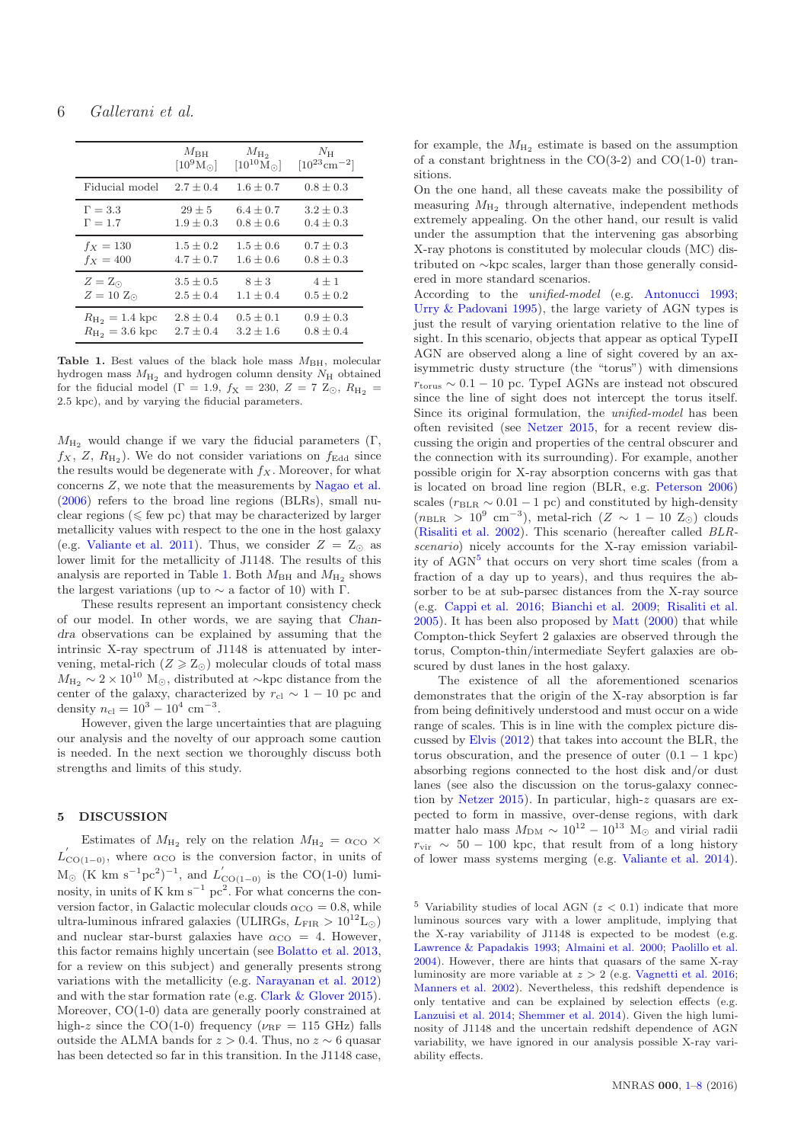|                                      | $M_{\rm BH}$      | $M_{\rm H_2}$        | $N_{\rm H}$                   |
|--------------------------------------|-------------------|----------------------|-------------------------------|
|                                      | $[10^9M_{\odot}]$ | $[10^{10}M_{\odot}]$ | $[10^{23}$ cm <sup>-2</sup> ] |
| Fiducial model                       | $2.7 \pm 0.4$     | $1.6 \pm 0.7$        | $0.8 \pm 0.3$                 |
| $\Gamma = 3.3$                       | $29 \pm 5$        | $6.4 \pm 0.7$        | $3.2 \pm 0.3$                 |
| $\Gamma = 1.7$                       | $1.9 + 0.3$       | $0.8 + 0.6$          | $0.4 \pm 0.3$                 |
| $f_X = 130$                          | $1.5 \pm 0.2$     | $1.5 + 0.6$          | $0.7 \pm 0.3$                 |
| $f_X = 400$                          | $4.7 \pm 0.7$     | $1.6 + 0.6$          | $0.8 \pm 0.3$                 |
| $Z = Z_{\odot}$                      | $3.5 \pm 0.5$     | $8 \pm 3$            | $4 \pm 1$                     |
| $Z=10 Z_{\odot}$                     | $2.5 \pm 0.4$     | $1.1 \pm 0.4$        | $0.5 \pm 0.2$                 |
| $R_{\text{H}_2} = 1.4 \text{ kpc}$   | $2.8 \pm 0.4$     | $0.5 \pm 0.1$        | $0.9 \pm 0.3$                 |
| $R_{\text{H}_{2}} = 3.6 \text{ kpc}$ | $2.7 \pm 0.4$     | $3.2 + 1.6$          | $0.8 + 0.4$                   |

<span id="page-5-0"></span>Table 1. Best values of the black hole mass  $M_{BH}$ , molecular hydrogen mass  $M_{\text{H}_2}$  and hydrogen column density  $N_{\text{H}}$  obtained for the fiducial model ( $\Gamma = 1.9$ ,  $f_{\rm X} = 230$ ,  $Z = 7 Z_{\odot}$ ,  $R_{\rm H_2} =$ 2.5 kpc), and by varying the fiducial parameters.

 $M_{\text{H}_2}$  would change if we vary the fiducial parameters (Γ,  $f_X$ , Z,  $R_{\text{H}_2}$ ). We do not consider variations on  $f_{\text{Edd}}$  since the results would be degenerate with  $f_X$ . Moreover, for what concerns Z, we note that the measurements by [Nagao et al.](#page-7-40) [\(2006](#page-7-40)) refers to the broad line regions (BLRs), small nuclear regions ( $\leq$  few pc) that may be characterized by larger metallicity values with respect to the one in the host galaxy (e.g. [Valiante et al. 2011](#page-8-20)). Thus, we consider  $Z = Z_{\odot}$  as lower limit for the metallicity of J1148. The results of this analysis are reported in Table [1.](#page-5-0) Both  $M_{\rm BH}$  and  $M_{\rm H_2}$  shows the largest variations (up to  $\sim$  a factor of 10) with Γ.

These results represent an important consistency check of our model. In other words, we are saying that Chandra observations can be explained by assuming that the intrinsic X-ray spectrum of J1148 is attenuated by intervening, metal-rich  $(Z \geq Z_{\odot})$  molecular clouds of total mass  $M_{\text{H}_2} \sim 2 \times 10^{10} \text{ M}_{\odot}$ , distributed at ∼kpc distance from the center of the galaxy, characterized by  $r_{\rm cl} \sim 1 - 10$  pc and density  $n_{\rm cl} = 10^3 - 10^4$  cm<sup>-3</sup>.

However, given the large uncertainties that are plaguing our analysis and the novelty of our approach some caution is needed. In the next section we thoroughly discuss both strengths and limits of this study.

# 5 DISCUSSION

Estimates of  $M_{\text{H}_2}$  rely on the relation  $M_{\text{H}_2} = \alpha_{\text{CO}} \times$  $L'_{\text{CO}(1-0)}$ , where  $\alpha_{\text{CO}}$  is the conversion factor, in units of  $M_{\odot}$  (K km s<sup>-1</sup>pc<sup>2</sup>)<sup>-1</sup>, and  $L'_{CO(1-0)}$  is the CO(1-0) luminosity, in units of K km  $s^{-1}$  pc<sup>2</sup>. For what concerns the conversion factor, in Galactic molecular clouds  $\alpha_{\text{CO}} = 0.8$ , while ultra-luminous infrared galaxies (ULIRGs,  $L_{\text{FIR}} > 10^{12}$ L<sub>⊙</sub>) and nuclear star-burst galaxies have  $\alpha_{\rm CO} = 4$ . However, this factor remains highly uncertain (see [Bolatto et al. 2013,](#page-7-43) for a review on this subject) and generally presents strong variations with the metallicity (e.g. [Narayanan et al. 2012](#page-7-44)) and with the star formation rate (e.g. [Clark & Glover 2015](#page-7-45)). Moreover, CO(1-0) data are generally poorly constrained at high-z since the CO(1-0) frequency ( $\nu_{\text{RF}} = 115$  GHz) falls outside the ALMA bands for  $z > 0.4$ . Thus, no  $z \sim 6$  quasar has been detected so far in this transition. In the J1148 case,

for example, the  $M_{\rm H_2}$  estimate is based on the assumption of a constant brightness in the  $CO(3-2)$  and  $CO(1-0)$  transitions.

On the one hand, all these caveats make the possibility of measuring  $M_{\text{H}_2}$  through alternative, independent methods extremely appealing. On the other hand, our result is valid under the assumption that the intervening gas absorbing X-ray photons is constituted by molecular clouds (MC) distributed on ∼kpc scales, larger than those generally considered in more standard scenarios.

According to the unified-model (e.g. [Antonucci 1993](#page-7-46); [Urry & Padovani 1995](#page-8-21)), the large variety of AGN types is just the result of varying orientation relative to the line of sight. In this scenario, objects that appear as optical TypeII AGN are observed along a line of sight covered by an axisymmetric dusty structure (the "torus") with dimensions  $r_{\text{torus}} \sim 0.1 - 10$  pc. TypeI AGNs are instead not obscured since the line of sight does not intercept the torus itself. Since its original formulation, the *unified-model* has been often revisited (see [Netzer 2015](#page-7-47), for a recent review discussing the origin and properties of the central obscurer and the connection with its surrounding). For example, another possible origin for X-ray absorption concerns with gas that is located on broad line region (BLR, e.g. [Peterson 2006](#page-8-22)) scales ( $r_{BLR} \sim 0.01 - 1$  pc) and constituted by high-density  $(n<sub>BLR</sub> > 10<sup>9</sup> cm<sup>-3</sup>)$ , metal-rich  $(Z \sim 1 - 10 Z<sub>©</sub>)$  clouds [\(Risaliti et al. 2002](#page-8-23)). This scenario (hereafter called BLRscenario) nicely accounts for the X-ray emission variability of AGN<sup>5</sup> that occurs on very short time scales (from a fraction of a day up to years), and thus requires the absorber to be at sub-parsec distances from the X-ray source (e.g. [Cappi et al. 2016;](#page-7-48) [Bianchi et al. 2009](#page-7-49); [Risaliti et al.](#page-8-24) [2005](#page-8-24)). It has been also proposed by [Matt](#page-7-50) [\(2000](#page-7-50)) that while Compton-thick Seyfert 2 galaxies are observed through the torus, Compton-thin/intermediate Seyfert galaxies are obscured by dust lanes in the host galaxy.

The existence of all the aforementioned scenarios demonstrates that the origin of the X-ray absorption is far from being definitively understood and must occur on a wide range of scales. This is in line with the complex picture discussed by [Elvis](#page-7-51) [\(2012](#page-7-51)) that takes into account the BLR, the torus obscuration, and the presence of outer  $(0.1 - 1 \text{ kpc})$ absorbing regions connected to the host disk and/or dust lanes (see also the discussion on the torus-galaxy connection by [Netzer 2015](#page-7-47)). In particular, high-z quasars are expected to form in massive, over-dense regions, with dark matter halo mass  $M_{\text{DM}} \sim 10^{12} - 10^{13}$  M<sub>o</sub> and virial radii  $r_{\rm vir} \sim 50 - 100$  kpc, that result from of a long history of lower mass systems merging (e.g. [Valiante et al. 2014](#page-8-25)).

<sup>5</sup> Variability studies of local AGN  $(z < 0.1)$  indicate that more luminous sources vary with a lower amplitude, implying that the X-ray variability of J1148 is expected to be modest (e.g. [Lawrence & Papadakis 1993;](#page-7-52) [Almaini et al. 2000;](#page-7-53) [Paolillo et al.](#page-7-54) [2004](#page-7-54)). However, there are hints that quasars of the same X-ray luminosity are more variable at  $z > 2$  (e.g. [Vagnetti et al. 2016;](#page-8-26) [Manners et al. 2002](#page-7-55)). Nevertheless, this redshift dependence is only tentative and can be explained by selection effects (e.g. [Lanzuisi et al. 2014](#page-7-56); [Shemmer et al. 2014](#page-8-27)). Given the high luminosity of J1148 and the uncertain redshift dependence of AGN variability, we have ignored in our analysis possible X-ray variability effects.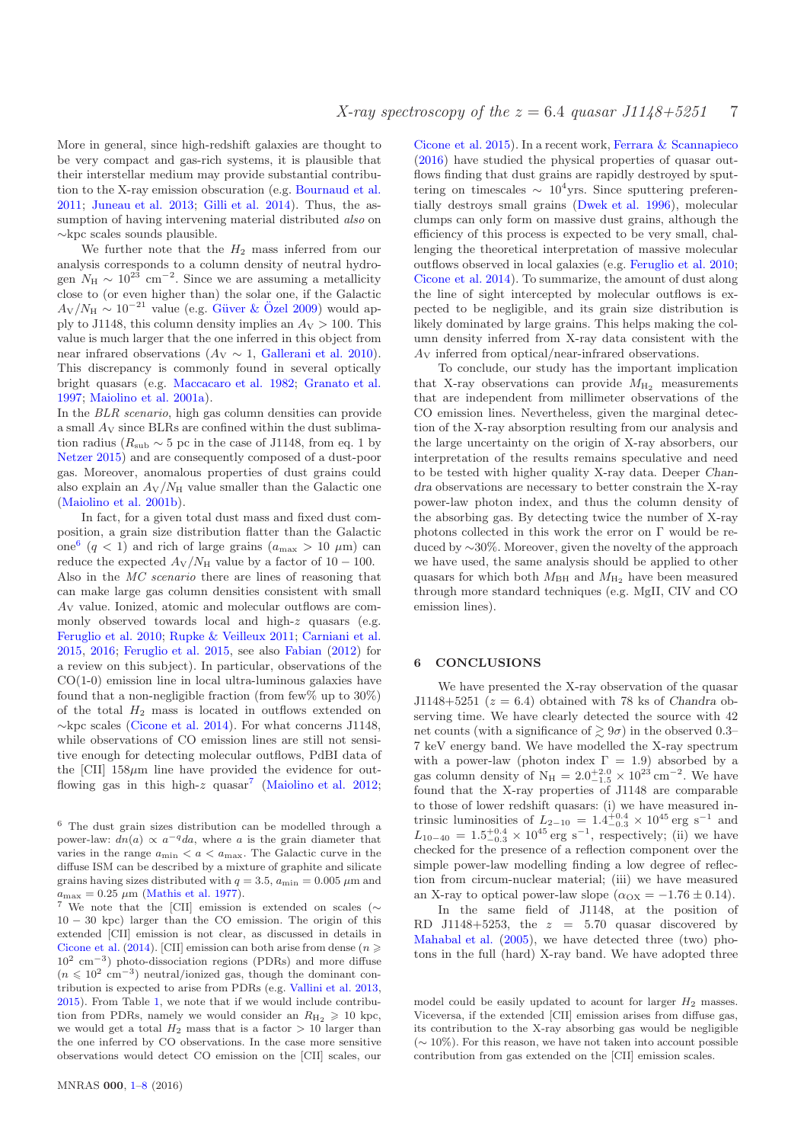More in general, since high-redshift galaxies are thought to be very compact and gas-rich systems, it is plausible that their interstellar medium may provide substantial contribution to the X-ray emission obscuration (e.g. [Bournaud et al.](#page-7-57) [2011](#page-7-57); [Juneau et al. 2013](#page-7-58); [Gilli et al. 2014](#page-7-59)). Thus, the assumption of having intervening material distributed *also* on ∼kpc scales sounds plausible.

We further note that the  $H_2$  mass inferred from our analysis corresponds to a column density of neutral hydrogen  $N_{\rm H} \sim 10^{23}$  cm<sup>-2</sup>. Since we are assuming a metallicity close to (or even higher than) the solar one, if the Galactic  $A_V/N_H \sim 10^{-21}$  value (e.g. Güver & Özel [2009](#page-7-60)) would apply to J1148, this column density implies an  $A_V > 100$ . This value is much larger that the one inferred in this object from near infrared observations ( $A_V \sim 1$ , [Gallerani et al. 2010](#page-7-15)). This discrepancy is commonly found in several optically bright quasars (e.g. [Maccacaro et al. 1982](#page-7-61); [Granato et al.](#page-7-62) [1997](#page-7-62); [Maiolino et al. 2001a\)](#page-7-63).

In the BLR scenario, high gas column densities can provide a small A<sup>V</sup> since BLRs are confined within the dust sublimation radius ( $R_{\text{sub}} \sim 5$  pc in the case of J1148, from eq. 1 by [Netzer 2015\)](#page-7-47) and are consequently composed of a dust-poor gas. Moreover, anomalous properties of dust grains could also explain an  $A_V/N_H$  value smaller than the Galactic one [\(Maiolino et al. 2001b\)](#page-7-64).

In fact, for a given total dust mass and fixed dust composition, a grain size distribution flatter than the Galactic one<sup>6</sup> (q < 1) and rich of large grains ( $a_{\text{max}} > 10 \mu \text{m}$ ) can reduce the expected  $A_V/N_H$  value by a factor of 10 – 100. Also in the MC scenario there are lines of reasoning that can make large gas column densities consistent with small A<sup>V</sup> value. Ionized, atomic and molecular outflows are commonly observed towards local and high-z quasars (e.g. [Feruglio et al. 2010](#page-7-65); [Rupke & Veilleux 2011](#page-8-28); [Carniani et al.](#page-7-66) [2015](#page-7-66), [2016](#page-7-67); [Feruglio et al. 2015](#page-7-68), see also [Fabian](#page-7-69) [\(2012\)](#page-7-69) for a review on this subject). In particular, observations of the CO(1-0) emission line in local ultra-luminous galaxies have found that a non-negligible fraction (from few% up to 30%) of the total  $H_2$  mass is located in outflows extended on ∼kpc scales [\(Cicone et al. 2014](#page-7-70)). For what concerns J1148, while observations of CO emission lines are still not sensitive enough for detecting molecular outflows, PdBI data of the  $\text{[CII]}$  158 $\mu$ m line have provided the evidence for out-flowing gas in this high-z quasar<sup>7</sup> [\(Maiolino et al. 2012;](#page-7-16) [Cicone et al. 2015](#page-7-18)). In a recent work, [Ferrara & Scannapieco](#page-7-72) [\(2016](#page-7-72)) have studied the physical properties of quasar outflows finding that dust grains are rapidly destroyed by sputtering on timescales  $\sim 10^4$ yrs. Since sputtering preferentially destroys small grains [\(Dwek et al. 1996](#page-7-73)), molecular clumps can only form on massive dust grains, although the efficiency of this process is expected to be very small, challenging the theoretical interpretation of massive molecular outflows observed in local galaxies (e.g. [Feruglio et al. 2010](#page-7-65); [Cicone et al. 2014](#page-7-70)). To summarize, the amount of dust along the line of sight intercepted by molecular outflows is expected to be negligible, and its grain size distribution is likely dominated by large grains. This helps making the column density inferred from X-ray data consistent with the A<sup>V</sup> inferred from optical/near-infrared observations.

To conclude, our study has the important implication that X-ray observations can provide  $M_{\rm H_2}$  measurements that are independent from millimeter observations of the CO emission lines. Nevertheless, given the marginal detection of the X-ray absorption resulting from our analysis and the large uncertainty on the origin of X-ray absorbers, our interpretation of the results remains speculative and need to be tested with higher quality X-ray data. Deeper Chandra observations are necessary to better constrain the X-ray power-law photon index, and thus the column density of the absorbing gas. By detecting twice the number of X-ray photons collected in this work the error on Γ would be reduced by ∼30%. Moreover, given the novelty of the approach we have used, the same analysis should be applied to other quasars for which both  $M_{BH}$  and  $M_{H_2}$  have been measured through more standard techniques (e.g. MgII, CIV and CO emission lines).

## <span id="page-6-0"></span>6 CONCLUSIONS

We have presented the X-ray observation of the quasar J1148+5251 ( $z = 6.4$ ) obtained with 78 ks of Chandra observing time. We have clearly detected the source with 42 net counts (with a significance of  $\geq 9\sigma$ ) in the observed 0.3– 7 keV energy band. We have modelled the X-ray spectrum with a power-law (photon index  $\Gamma = 1.9$ ) absorbed by a gas column density of  $N_{\rm H} = 2.0^{+2.0}_{-1.5} \times 10^{23} \text{ cm}^{-2}$ . We have found that the X-ray properties of J1148 are comparable to those of lower redshift quasars: (i) we have measured intrinsic luminosities of  $L_{2-10} = 1.4^{+0.4}_{-0.3} \times 10^{45}$  erg s<sup>-1</sup> and  $L_{10-40} = 1.5^{+0.4}_{-0.3} \times 10^{45}$  erg s<sup>-1</sup>, respectively; (ii) we have checked for the presence of a reflection component over the simple power-law modelling finding a low degree of reflection from circum-nuclear material; (iii) we have measured an X-ray to optical power-law slope ( $\alpha_{OX} = -1.76 \pm 0.14$ ).

In the same field of J1148, at the position of RD J1148+5253, the  $z = 5.70$  quasar discovered by [Mahabal et al.](#page-7-21) [\(2005](#page-7-21)), we have detected three (two) photons in the full (hard) X-ray band. We have adopted three

<sup>6</sup> The dust grain sizes distribution can be modelled through a power-law:  $dn(a) \propto a^{-q}da$ , where a is the grain diameter that varies in the range  $a_{\min} < a < a_{\max}$ . The Galactic curve in the diffuse ISM can be described by a mixture of graphite and silicate grains having sizes distributed with  $q = 3.5$ ,  $a_{\text{min}} = 0.005 \,\mu\text{m}$  and  $a_{\text{max}} = 0.25 \ \mu \text{m}$  [\(Mathis et al. 1977](#page-7-71)).

We note that the [CII] emission is extended on scales ( $\sim$ 10 − 30 kpc) larger than the CO emission. The origin of this extended [CII] emission is not clear, as discussed in details in [Cicone et al.](#page-7-70) [\(2014\)](#page-7-70). [CII] emission can both arise from dense ( $n \geq$ 10<sup>2</sup> cm−<sup>3</sup> ) photo-dissociation regions (PDRs) and more diffuse  $(n \leq 10^2 \text{ cm}^{-3})$  neutral/ionized gas, though the dominant contribution is expected to arise from PDRs (e.g. [Vallini et al. 2013,](#page-8-29) [2015](#page-8-30)). From Table [1,](#page-5-0) we note that if we would include contribution from PDRs, namely we would consider an  $R_{\text{H}_2} \geq 10$  kpc, we would get a total  $H_2$  mass that is a factor  $> 10$  larger than the one inferred by CO observations. In the case more sensitive observations would detect CO emission on the [CII] scales, our

model could be easily updated to acount for larger  $H_2$  masses. Viceversa, if the extended [CII] emission arises from diffuse gas, its contribution to the X-ray absorbing gas would be negligible (∼ 10%). For this reason, we have not taken into account possible contribution from gas extended on the [CII] emission scales.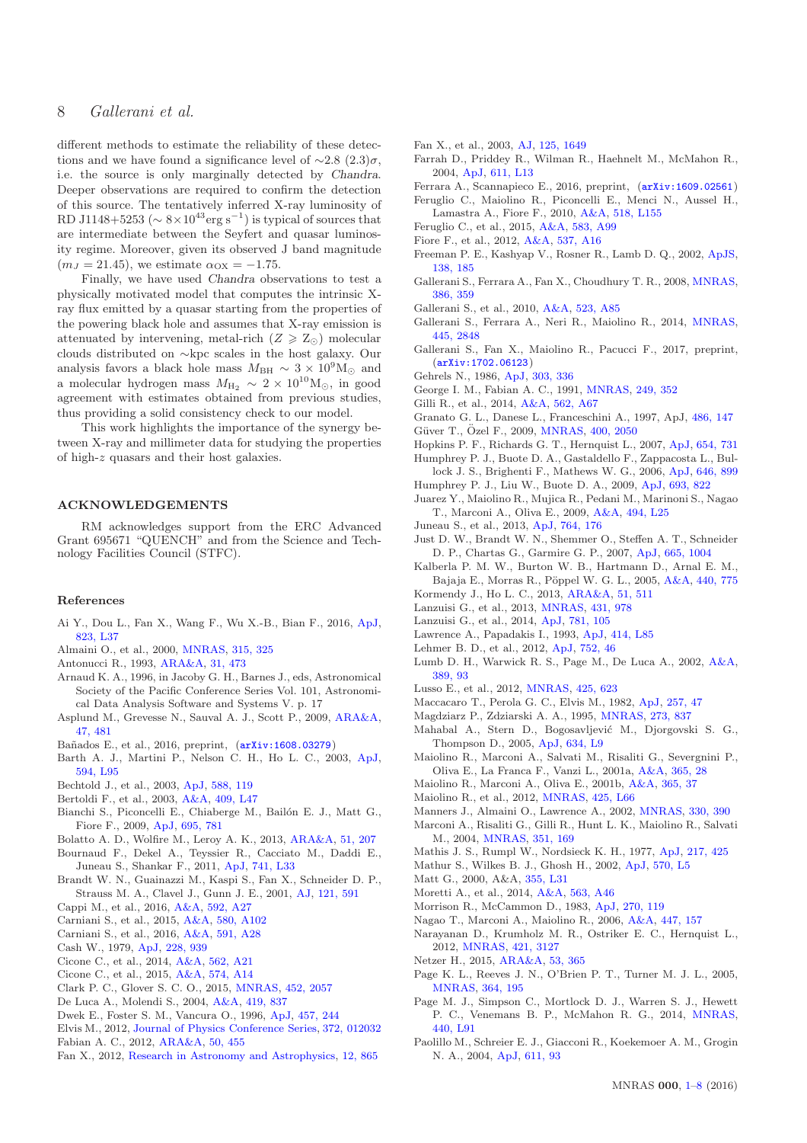different methods to estimate the reliability of these detections and we have found a significance level of  $\sim$ 2.8 (2.3) $\sigma$ . i.e. the source is only marginally detected by Chandra. Deeper observations are required to confirm the detection of this source. The tentatively inferred X-ray luminosity of RD J1148+5253 ( $\sim 8 \times 10^{43}$ erg s<sup>-1</sup>) is typical of sources that are intermediate between the Seyfert and quasar luminosity regime. Moreover, given its observed J band magnitude  $(m_J = 21.45)$ , we estimate  $\alpha_{OX} = -1.75$ .

Finally, we have used Chandra observations to test a physically motivated model that computes the intrinsic Xray flux emitted by a quasar starting from the properties of the powering black hole and assumes that X-ray emission is attenuated by intervening, metal-rich ( $Z \geqslant Z_{\odot}$ ) molecular clouds distributed on ∼kpc scales in the host galaxy. Our analysis favors a black hole mass  $M_{\rm BH} \sim 3 \times 10^9 \rm M_{\odot}$  and a molecular hydrogen mass  $M_{\rm H_2} \sim 2 \times 10^{10} \rm M_{\odot}$ , in good agreement with estimates obtained from previous studies, thus providing a solid consistency check to our model.

This work highlights the importance of the synergy between X-ray and millimeter data for studying the properties of high-z quasars and their host galaxies.

#### ACKNOWLEDGEMENTS

RM acknowledges support from the ERC Advanced Grant 695671 "QUENCH" and from the Science and Technology Facilities Council (STFC).

### References

- <span id="page-7-9"></span>Ai Y., Dou L., Fan X., Wang F., Wu X.-B., Bian F., 2016, [ApJ,](http://dx.doi.org/10.3847/2041-8205/823/2/L37) [823, L37](http://adsabs.harvard.edu/abs/2016ApJ...823L..37A)
- <span id="page-7-53"></span>Almaini O., et al., 2000, [MNRAS,](http://dx.doi.org/10.1046/j.1365-8711.2000.03385.x) [315, 325](http://adsabs.harvard.edu/abs/2000MNRAS.315..325A)
- <span id="page-7-46"></span>Antonucci R., 1993, [ARA&A,](http://dx.doi.org/10.1146/annurev.aa.31.090193.002353) [31, 473](http://adsabs.harvard.edu/abs/1993ARA%26A..31..473A)
- <span id="page-7-23"></span>Arnaud K. A., 1996, in Jacoby G. H., Barnes J., eds, Astronomical Society of the Pacific Conference Series Vol. 101, Astronomical Data Analysis Software and Systems V. p. 17
- <span id="page-7-41"></span>Asplund M., Grevesse N., Sauval A. J., Scott P., 2009, [ARA&A,](http://dx.doi.org/10.1146/annurev.astro.46.060407.145222) [47, 481](http://adsabs.harvard.edu/abs/2009ARA%26A..47..481A)
- <span id="page-7-2"></span>Ba˜nados E., et al., 2016, preprint, ([arXiv:1608.03279](http://arxiv.org/abs/1608.03279))
- <span id="page-7-19"></span>Barth A. J., Martini P., Nelson C. H., Ho L. C., 2003, [ApJ,](http://dx.doi.org/10.1086/378735) [594, L95](http://adsabs.harvard.edu/abs/2003ApJ...594L..95B)
- <span id="page-7-6"></span>Bechtold J., et al., 2003, [ApJ,](http://dx.doi.org/10.1086/378724) [588, 119](http://adsabs.harvard.edu/abs/2003ApJ...588..119B)
- <span id="page-7-20"></span>Bertoldi F., et al., 2003, [A&A,](http://dx.doi.org/10.1051/0004-6361:20031345) [409, L47](http://adsabs.harvard.edu/abs/2003A%26A...409L..47B)
- <span id="page-7-49"></span>Bianchi S., Piconcelli E., Chiaberge M., Bailón E. J., Matt G., Fiore F., 2009, [ApJ,](http://dx.doi.org/10.1088/0004-637X/695/1/781) [695, 781](http://adsabs.harvard.edu/abs/2009ApJ...695..781B)
- <span id="page-7-43"></span>Bolatto A. D., Wolfire M., Leroy A. K., 2013, [ARA&A,](http://dx.doi.org/10.1146/annurev-astro-082812-140944) [51, 207](http://adsabs.harvard.edu/abs/2013ARA%26A..51..207B)
- <span id="page-7-57"></span>Bournaud F., Dekel A., Teyssier R., Cacciato M., Daddi E., Juneau S., Shankar F., 2011, [ApJ,](http://dx.doi.org/10.1088/2041-8205/741/2/L33) [741, L33](http://adsabs.harvard.edu/abs/2011ApJ...741L..33B)
- <span id="page-7-4"></span>Brandt W. N., Guainazzi M., Kaspi S., Fan X., Schneider D. P., Strauss M. A., Clavel J., Gunn J. E., 2001, [AJ,](http://dx.doi.org/10.1086/318760) [121, 591](http://adsabs.harvard.edu/abs/2001AJ....121..591B)
- <span id="page-7-48"></span>Cappi M., et al., 2016, [A&A,](http://dx.doi.org/10.1051/0004-6361/201628464) [592, A27](http://adsabs.harvard.edu/abs/2016A%26A...592A..27C)
- <span id="page-7-66"></span>Carniani S., et al., 2015, [A&A,](http://dx.doi.org/10.1051/0004-6361/201526557) [580, A102](http://adsabs.harvard.edu/abs/2015A%26A...580A.102C)
- <span id="page-7-67"></span>Carniani S., et al., 2016, [A&A,](http://dx.doi.org/10.1051/0004-6361/201528037) [591, A28](http://adsabs.harvard.edu/abs/2016A%26A...591A..28C)
- <span id="page-7-24"></span>Cash W., 1979, [ApJ,](http://dx.doi.org/10.1086/156922) [228, 939](http://adsabs.harvard.edu/abs/1979ApJ...228..939C)
- <span id="page-7-70"></span>Cicone C., et al., 2014, [A&A,](http://dx.doi.org/10.1051/0004-6361/201322464) [562, A21](http://adsabs.harvard.edu/abs/2014A%26A...562A..21C)
- <span id="page-7-18"></span>Cicone C., et al., 2015, [A&A,](http://dx.doi.org/10.1051/0004-6361/201424980) [574, A14](http://adsabs.harvard.edu/abs/2015A%26A...574A..14C)
- <span id="page-7-45"></span>Clark P. C., Glover S. C. O., 2015, [MNRAS,](http://dx.doi.org/10.1093/mnras/stv1369) [452, 2057](http://adsabs.harvard.edu/abs/2015MNRAS.452.2057C)
- <span id="page-7-31"></span>De Luca A., Molendi S., 2004, [A&A,](http://dx.doi.org/10.1051/0004-6361:20034421) [419, 837](http://adsabs.harvard.edu/abs/2004A%26A...419..837D)
- <span id="page-7-73"></span>Dwek E., Foster S. M., Vancura O., 1996, [ApJ,](http://dx.doi.org/10.1086/176725) [457, 244](http://adsabs.harvard.edu/abs/1996ApJ...457..244D)
- <span id="page-7-51"></span>Elvis M., 2012, [Journal of Physics Conference Series,](http://dx.doi.org/10.1088/1742-6596/372/1/012032) [372, 012032](http://adsabs.harvard.edu/abs/2012JPhCS.372a2032E) Fabian A. C., 2012, [ARA&A,](http://dx.doi.org/10.1146/annurev-astro-081811-125521) [50, 455](http://adsabs.harvard.edu/abs/2012ARA%26A..50..455F)
- <span id="page-7-69"></span><span id="page-7-0"></span>Fan X., 2012, [Research in Astronomy and Astrophysics,](http://dx.doi.org/10.1088/1674-4527/12/8/002) [12, 865](http://adsabs.harvard.edu/abs/2012RAA....12..865F)
- <span id="page-7-12"></span>Fan X., et al., 2003, [AJ,](http://dx.doi.org/10.1086/368246) [125, 1649](http://adsabs.harvard.edu/abs/2003AJ....125.1649F)
- <span id="page-7-11"></span>Farrah D., Priddey R., Wilman R., Haehnelt M., McMahon R., 2004, [ApJ,](http://dx.doi.org/10.1086/423669) [611, L13](http://adsabs.harvard.edu/abs/2004ApJ...611L..13F)
- <span id="page-7-72"></span>Ferrara A., Scannapieco E., 2016, preprint, ([arXiv:1609.02561](http://arxiv.org/abs/1609.02561))
- <span id="page-7-65"></span>Feruglio C., Maiolino R., Piconcelli E., Menci N., Aussel H., Lamastra A., Fiore F., 2010, [A&A,](http://dx.doi.org/10.1051/0004-6361/201015164) [518, L155](http://adsabs.harvard.edu/abs/2010A%26A...518L.155F)
- <span id="page-7-68"></span>Feruglio C., et al., 2015, [A&A,](http://dx.doi.org/10.1051/0004-6361/201526020) [583, A99](http://adsabs.harvard.edu/abs/2015A%26A...583A..99F)
- <span id="page-7-32"></span>Fiore F., et al., 2012, [A&A,](http://dx.doi.org/10.1051/0004-6361/201117581) [537, A16](http://adsabs.harvard.edu/abs/2012A%26A...537A..16F)
- <span id="page-7-34"></span>Freeman P. E., Kashyap V., Rosner R., Lamb D. Q., 2002, [ApJS,](http://dx.doi.org/10.1086/324017) [138, 185](http://adsabs.harvard.edu/abs/2002ApJS..138..185F)
- <span id="page-7-13"></span>Gallerani S., Ferrara A., Fan X., Choudhury T. R., 2008, [MNRAS,](http://dx.doi.org/10.1111/j.1365-2966.2008.13029.x) [386, 359](http://adsabs.harvard.edu/abs/2008MNRAS.386..359G)
- <span id="page-7-15"></span>Gallerani S., et al., 2010, [A&A,](http://dx.doi.org/10.1051/0004-6361/201014721) [523, A85](http://adsabs.harvard.edu/abs/2010A%26A...523A..85G)
- <span id="page-7-17"></span>Gallerani S., Ferrara A., Neri R., Maiolino R., 2014, [MNRAS,](http://dx.doi.org/10.1093/mnras/stu2031) [445, 2848](http://adsabs.harvard.edu/abs/2014MNRAS.445.2848G)
- <span id="page-7-3"></span>Gallerani S., Fan X., Maiolino R., Pacucci F., 2017, preprint, ([arXiv:1702.06123](http://arxiv.org/abs/1702.06123))
- <span id="page-7-22"></span>Gehrels N., 1986, [ApJ,](http://dx.doi.org/10.1086/164079) [303, 336](http://adsabs.harvard.edu/abs/1986ApJ...303..336G)
- <span id="page-7-26"></span>George I. M., Fabian A. C., 1991, [MNRAS,](http://dx.doi.org/10.1093/mnras/249.2.352) [249, 352](http://adsabs.harvard.edu/abs/1991MNRAS.249..352G)
- <span id="page-7-59"></span>Gilli R., et al., 2014, [A&A,](http://dx.doi.org/10.1051/0004-6361/201322892) [562, A67](http://adsabs.harvard.edu/abs/2014A%26A...562A..67G)
- <span id="page-7-62"></span>Granato G. L., Danese L., Franceschini A., 1997, ApJ, [486, 147](http://adsabs.harvard.edu/abs/1997ApJ...486..147G)
- <span id="page-7-60"></span>Güver T., Özel F., 2009, [MNRAS,](http://dx.doi.org/10.1111/j.1365-2966.2009.15598.x) [400, 2050](http://adsabs.harvard.edu/abs/2009MNRAS.400.2050G)
- <span id="page-7-38"></span>Hopkins P. F., Richards G. T., Hernquist L., 2007, [ApJ,](http://dx.doi.org/10.1086/509629) [654, 731](http://adsabs.harvard.edu/abs/2007ApJ...654..731H)
- <span id="page-7-33"></span>Humphrey P. J., Buote D. A., Gastaldello F., Zappacosta L., Bullock J. S., Brighenti F., Mathews W. G., 2006, [ApJ,](http://dx.doi.org/10.1086/505019) [646, 899](http://adsabs.harvard.edu/abs/2006ApJ...646..899H)
- <span id="page-7-42"></span>Humphrey P. J., Liu W., Buote D. A., 2009, [ApJ,](http://dx.doi.org/10.1088/0004-637X/693/1/822) [693, 822](http://adsabs.harvard.edu/abs/2009ApJ...693..822H)
- <span id="page-7-14"></span>Juarez Y., Maiolino R., Mujica R., Pedani M., Marinoni S., Nagao T., Marconi A., Oliva E., 2009, [A&A,](http://dx.doi.org/10.1051/0004-6361:200811415) [494, L25](http://adsabs.harvard.edu/abs/2009A%26A...494L..25J)
- <span id="page-7-58"></span>Juneau S., et al., 2013, [ApJ,](http://dx.doi.org/10.1088/0004-637X/764/2/176) [764, 176](http://adsabs.harvard.edu/abs/2013ApJ...764..176J)
- <span id="page-7-10"></span>Just D. W., Brandt W. N., Shemmer O., Steffen A. T., Schneider D. P., Chartas G., Garmire G. P., 2007, [ApJ,](http://dx.doi.org/10.1086/519990) [665, 1004](http://adsabs.harvard.edu/abs/2007ApJ...665.1004J)
- <span id="page-7-25"></span>Kalberla P. M. W., Burton W. B., Hartmann D., Arnal E. M., Bajaja E., Morras R., Pöppel W. G. L., 2005,  $\mathrm{A\&A},\,440,\,775$
- <span id="page-7-1"></span>Kormendy J., Ho L. C., 2013, [ARA&A,](http://dx.doi.org/10.1146/annurev-astro-082708-101811) [51, 511](http://adsabs.harvard.edu/abs/2013ARA%26A..51..511K)
- <span id="page-7-29"></span>Lanzuisi G., et al., 2013, [MNRAS,](http://dx.doi.org/10.1093/mnras/stt222) [431, 978](http://adsabs.harvard.edu/abs/2013MNRAS.431..978L)
- <span id="page-7-56"></span>Lanzuisi G., et al., 2014, [ApJ,](http://dx.doi.org/10.1088/0004-637X/781/2/105) [781, 105](http://adsabs.harvard.edu/abs/2014ApJ...781..105L)
- <span id="page-7-52"></span>Lawrence A., Papadakis I., 1993, [ApJ,](http://dx.doi.org/10.1086/187002) [414, L85](http://adsabs.harvard.edu/abs/1993ApJ...414L..85L)
- <span id="page-7-35"></span>Lehmer B. D., et al., 2012, [ApJ,](http://dx.doi.org/10.1088/0004-637X/752/1/46) [752, 46](http://adsabs.harvard.edu/abs/2012ApJ...752...46L)
- <span id="page-7-30"></span>Lumb D. H., Warwick R. S., Page M., De Luca A., 2002, [A&A,](http://dx.doi.org/10.1051/0004-6361:20020531) [389, 93](http://adsabs.harvard.edu/abs/2002A%26A...389...93L)
- <span id="page-7-37"></span>Lusso E., et al., 2012, [MNRAS,](http://dx.doi.org/10.1111/j.1365-2966.2012.21513.x) [425, 623](http://adsabs.harvard.edu/abs/2012MNRAS.425..623L)
- <span id="page-7-61"></span>Maccacaro T., Perola G. C., Elvis M., 1982, [ApJ,](http://dx.doi.org/10.1086/159961) [257, 47](http://adsabs.harvard.edu/abs/1982ApJ...257...47M)
- <span id="page-7-27"></span>Magdziarz P., Zdziarski A. A., 1995, [MNRAS,](http://dx.doi.org/10.1093/mnras/273.3.837) [273, 837](http://adsabs.harvard.edu/abs/1995MNRAS.273..837M)
- <span id="page-7-21"></span>Mahabal A., Stern D., Bogosavljević M., Djorgovski S. G., Thompson D., 2005, [ApJ,](http://dx.doi.org/10.1086/498847) [634, L9](http://adsabs.harvard.edu/abs/2005ApJ...634L...9M)
- <span id="page-7-63"></span>Maiolino R., Marconi A., Salvati M., Risaliti G., Severgnini P., Oliva E., La Franca F., Vanzi L., 2001a, [A&A,](http://dx.doi.org/10.1051/0004-6361:20000177) [365, 28](http://adsabs.harvard.edu/abs/2001A%26A...365...28M)
- <span id="page-7-64"></span>Maiolino R., Marconi A., Oliva E., 2001b, [A&A,](http://dx.doi.org/10.1051/0004-6361:20000012) [365, 37](http://adsabs.harvard.edu/abs/2001A%26A...365...37M)
- <span id="page-7-16"></span>Maiolino R., et al., 2012, [MNRAS,](http://dx.doi.org/10.1111/j.1745-3933.2012.01303.x) [425, L66](http://adsabs.harvard.edu/abs/2012MNRAS.425L..66M)
- <span id="page-7-55"></span>Manners J., Almaini O., Lawrence A., 2002, [MNRAS,](http://dx.doi.org/10.1046/j.1365-8711.2002.05065.x) [330, 390](http://adsabs.harvard.edu/abs/2002MNRAS.330..390M)
- <span id="page-7-39"></span>Marconi A., Risaliti G., Gilli R., Hunt L. K., Maiolino R., Salvati M., 2004, [MNRAS,](http://dx.doi.org/10.1111/j.1365-2966.2004.07765.x) [351, 169](http://adsabs.harvard.edu/abs/2004MNRAS.351..169M)
- <span id="page-7-71"></span>Mathis J. S., Rumpl W., Nordsieck K. H., 1977, [ApJ,](http://dx.doi.org/10.1086/155591) [217, 425](http://adsabs.harvard.edu/abs/1977ApJ...217..425M)
- <span id="page-7-5"></span>Mathur S., Wilkes B. J., Ghosh H., 2002, [ApJ,](http://dx.doi.org/10.1086/340831) [570, L5](http://adsabs.harvard.edu/abs/2002ApJ...570L...5M)
- <span id="page-7-50"></span>Matt G., 2000, A&A, [355, L31](http://adsabs.harvard.edu/abs/2000A%26A...355L..31M)
- <span id="page-7-8"></span>Moretti A., et al., 2014, [A&A,](http://dx.doi.org/10.1051/0004-6361/201323051) [563, A46](http://adsabs.harvard.edu/abs/2014A%26A...563A..46M)
- <span id="page-7-36"></span>Morrison R., McCammon D., 1983, [ApJ,](http://dx.doi.org/10.1086/161102) [270, 119](http://adsabs.harvard.edu/abs/1983ApJ...270..119M)
- <span id="page-7-40"></span>Nagao T., Marconi A., Maiolino R., 2006, [A&A,](http://dx.doi.org/10.1051/0004-6361:20054024) [447, 157](http://adsabs.harvard.edu/abs/2006A%26A...447..157N)
- <span id="page-7-44"></span>Narayanan D., Krumholz M. R., Ostriker E. C., Hernquist L., 2012, [MNRAS,](http://dx.doi.org/10.1111/j.1365-2966.2012.20536.x) [421, 3127](http://adsabs.harvard.edu/abs/2012MNRAS.421.3127N)
- <span id="page-7-47"></span>Netzer H., 2015, [ARA&A,](http://dx.doi.org/10.1146/annurev-astro-082214-122302) [53, 365](http://adsabs.harvard.edu/abs/2015ARA%26A..53..365N)
- <span id="page-7-28"></span>Page K. L., Reeves J. N., O'Brien P. T., Turner M. J. L., 2005, [MNRAS,](http://dx.doi.org/10.1111/j.1365-2966.2005.09550.x) [364, 195](http://adsabs.harvard.edu/abs/2005MNRAS.364..195P)
- <span id="page-7-7"></span>Page M. J., Simpson C., Mortlock D. J., Warren S. J., Hewett P. C., Venemans B. P., McMahon R. G., 2014, [MNRAS,](http://dx.doi.org/10.1093/mnrasl/slu022) [440, L91](http://adsabs.harvard.edu/abs/2014MNRAS.440L..91P)
- <span id="page-7-54"></span>Paolillo M., Schreier E. J., Giacconi R., Koekemoer A. M., Grogin N. A., 2004, [ApJ,](http://dx.doi.org/10.1086/421967) [611, 93](http://adsabs.harvard.edu/abs/2004ApJ...611...93P)